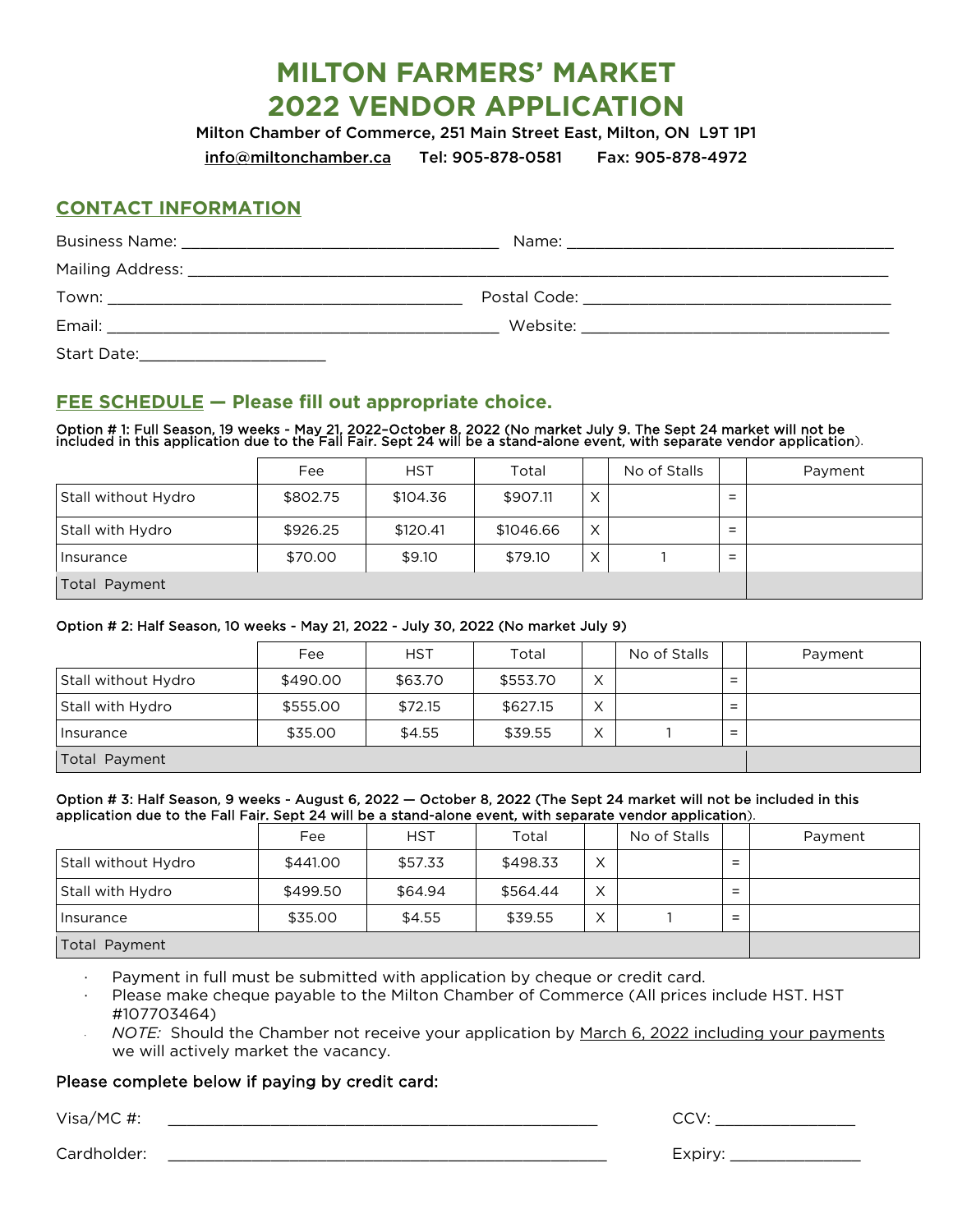# **MILTON FARMERS' MARKET 2022 VENDOR APPLICATION**

Milton Chamber of Commerce, 251 Main Street East, Milton, ON L9T 1P1

[info@miltonchamber.ca](mailto:info@miltonchamber.ca) Tel: 905-878-0581 Fax: 905-878-4972

### **CONTACT INFORMATION**

|             | Postal Code: National According to the Code of the Code of the Code of the Code of the Code of the Code of the |  |
|-------------|----------------------------------------------------------------------------------------------------------------|--|
|             |                                                                                                                |  |
| Start Date: |                                                                                                                |  |

## **FEE SCHEDULE — Please fill out appropriate choice.**

Option # 1: Full Season, 19 weeks - May 21, 2022-October 8, 2022 (No market July 9. The Sept 24 market will not be<br>included in this application due to the Fall Fair. Sept 24 will be a stand-alone event, with separate vendo

|                     | Fee      | <b>HST</b> | Total     |          | No of Stalls |                                                      | Payment |
|---------------------|----------|------------|-----------|----------|--------------|------------------------------------------------------|---------|
| Stall without Hydro | \$802.75 | \$104.36   | \$907.11  | X        |              | $=$                                                  |         |
| Stall with Hydro    | \$926.25 | \$120.41   | \$1046.66 | $\times$ |              | $=$                                                  |         |
| Insurance           | \$70.00  | \$9.10     | \$79.10   | X        |              | $\overline{\phantom{a}}$<br>$\overline{\phantom{0}}$ |         |
| Total Payment       |          |            |           |          |              |                                                      |         |

#### Option # 2: Half Season, 10 weeks - May 21, 2022 - July 30, 2022 (No market July 9)

|                     | Fee      | <b>HST</b> | Total    |              | No of Stalls |                               | Payment |
|---------------------|----------|------------|----------|--------------|--------------|-------------------------------|---------|
| Stall without Hydro | \$490.00 | \$63.70    | \$553.70 | $\checkmark$ |              | $\overline{\phantom{0}}$<br>۰ |         |
| Stall with Hydro    | \$555.00 | \$72.15    | \$627.15 | $\checkmark$ |              | $=$                           |         |
| Insurance           | \$35.00  | \$4.55     | \$39.55  |              |              | -<br>-                        |         |
| Total Payment       |          |            |          |              |              |                               |         |

#### Option # 3: Half Season, 9 weeks - August 6, 2022 — October 8, 2022 (The Sept 24 market will not be included in this application due to the Fall Fair. Sept 24 will be a stand-alone event, with separate vendor application).

|                     | Fee      | <b>HST</b> | Total    |                   | No of Stalls |                                                      | Payment |
|---------------------|----------|------------|----------|-------------------|--------------|------------------------------------------------------|---------|
| Stall without Hydro | \$441.00 | \$57.33    | \$498.33 | $\sqrt{}$<br>⋏    |              | $\overline{\phantom{0}}$                             |         |
| Stall with Hydro    | \$499.50 | \$64.94    | \$564.44 | X                 |              | $\overline{\phantom{0}}$<br>$\overline{\phantom{0}}$ |         |
| Insurance           | \$35.00  | \$4.55     | \$39.55  | $\checkmark$<br>⋏ |              | $\overline{\phantom{0}}$<br>$\overline{\phantom{0}}$ |         |
| Total Payment       |          |            |          |                   |              |                                                      |         |

Payment in full must be submitted with application by cheque or credit card.

- Please make cheque payable to the Milton Chamber of Commerce (All prices include HST. HST #107703464)
- · *NOTE:* Should the Chamber not receive your application by March 6, 2022 including your payments we will actively market the vacancy.

#### Please complete below if paying by credit card:

Visa/MC #: \_\_\_\_\_\_\_\_\_\_\_\_\_\_\_\_\_\_\_\_\_\_\_\_\_\_\_\_\_\_\_\_\_\_\_\_\_\_\_\_\_\_\_\_\_\_ CCV: \_\_\_\_\_\_\_\_\_\_\_\_\_\_\_

Cardholder: \_\_\_\_\_\_\_\_\_\_\_\_\_\_\_\_\_\_\_\_\_\_\_\_\_\_\_\_\_\_\_\_\_\_\_\_\_\_\_\_\_\_\_\_\_\_\_ Expiry: \_\_\_\_\_\_\_\_\_\_\_\_\_\_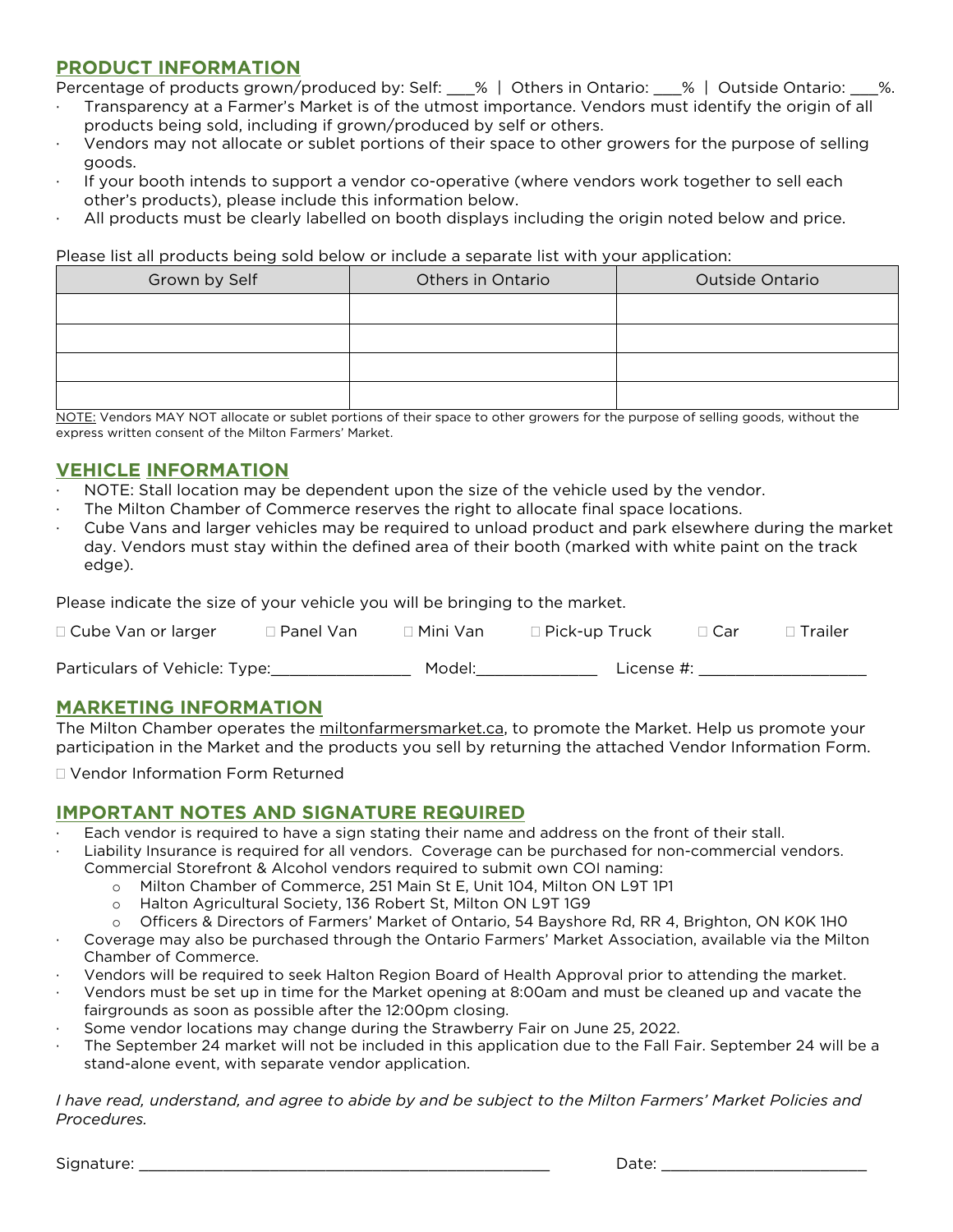### **PRODUCT INFORMATION**

Percentage of products grown/produced by: Self:  $\%$  | Others in Ontario:  $\%$  | Outside Ontario:

- · Transparency at a Farmer's Market is of the utmost importance. Vendors must identify the origin of all products being sold, including if grown/produced by self or others.
- · Vendors may not allocate or sublet portions of their space to other growers for the purpose of selling goods.
- If your booth intends to support a vendor co-operative (where vendors work together to sell each other's products), please include this information below.
- · All products must be clearly labelled on booth displays including the origin noted below and price.

Please list all products being sold below or include a separate list with your application:

| Grown by Self | Others in Ontario | Outside Ontario |
|---------------|-------------------|-----------------|
|               |                   |                 |
|               |                   |                 |
|               |                   |                 |
|               |                   |                 |

NOTE: Vendors MAY NOT allocate or sublet portions of their space to other growers for the purpose of selling goods, without the express written consent of the Milton Farmers' Market.

### **VEHICLE INFORMATION**

- NOTE: Stall location may be dependent upon the size of the vehicle used by the vendor.
- The Milton Chamber of Commerce reserves the right to allocate final space locations.
- · Cube Vans and larger vehicles may be required to unload product and park elsewhere during the market day. Vendors must stay within the defined area of their booth (marked with white paint on the track edge).

Please indicate the size of your vehicle you will be bringing to the market.

| $\Box$ Cube Van or larger     | ∃ Panel Van | □ Mini Van | $\Box$ Pick-up Truck | $\Box$ Car | ∣ Trailer |
|-------------------------------|-------------|------------|----------------------|------------|-----------|
| Particulars of Vehicle: Type: |             | Model:     | License #:           |            |           |

### **MARKETING INFORMATION**

The Milton Chamber operates the [miltonfarmersmarket.ca,](http://www.miltonfarmersmarket.ca/) to promote the Market. Help us promote your participation in the Market and the products you sell by returning the attached Vendor Information Form.

Vendor Information Form Returned

### **IMPORTANT NOTES AND SIGNATURE REQUIRED**

- Each vendor is required to have a sign stating their name and address on the front of their stall.
- Liability Insurance is required for all vendors. Coverage can be purchased for non-commercial vendors. Commercial Storefront & Alcohol vendors required to submit own COI naming:
	- o Milton Chamber of Commerce, 251 Main St E, Unit 104, Milton ON L9T 1P1
	- o Halton Agricultural Society, 136 Robert St, Milton ON L9T 1G9
	- o Officers & Directors of Farmers' Market of Ontario, 54 Bayshore Rd, RR 4, Brighton, ON K0K 1H0
- · Coverage may also be purchased through the Ontario Farmers' Market Association, available via the Milton Chamber of Commerce.
- · Vendors will be required to seek Halton Region Board of Health Approval prior to attending the market.
- · Vendors must be set up in time for the Market opening at 8:00am and must be cleaned up and vacate the fairgrounds as soon as possible after the 12:00pm closing.
- Some vendor locations may change during the Strawberry Fair on June 25, 2022.
- The September 24 market will not be included in this application due to the Fall Fair. September 24 will be a stand-alone event, with separate vendor application.

*I have read, understand, and agree to abide by and be subject to the Milton Farmers' Market Policies and Procedures.*

Signature: \_\_\_\_\_\_\_\_\_\_\_\_\_\_\_\_\_\_\_\_\_\_\_\_\_\_\_\_\_\_\_\_\_\_\_\_\_\_\_\_\_\_\_\_ Date: \_\_\_\_\_\_\_\_\_\_\_\_\_\_\_\_\_\_\_\_\_\_